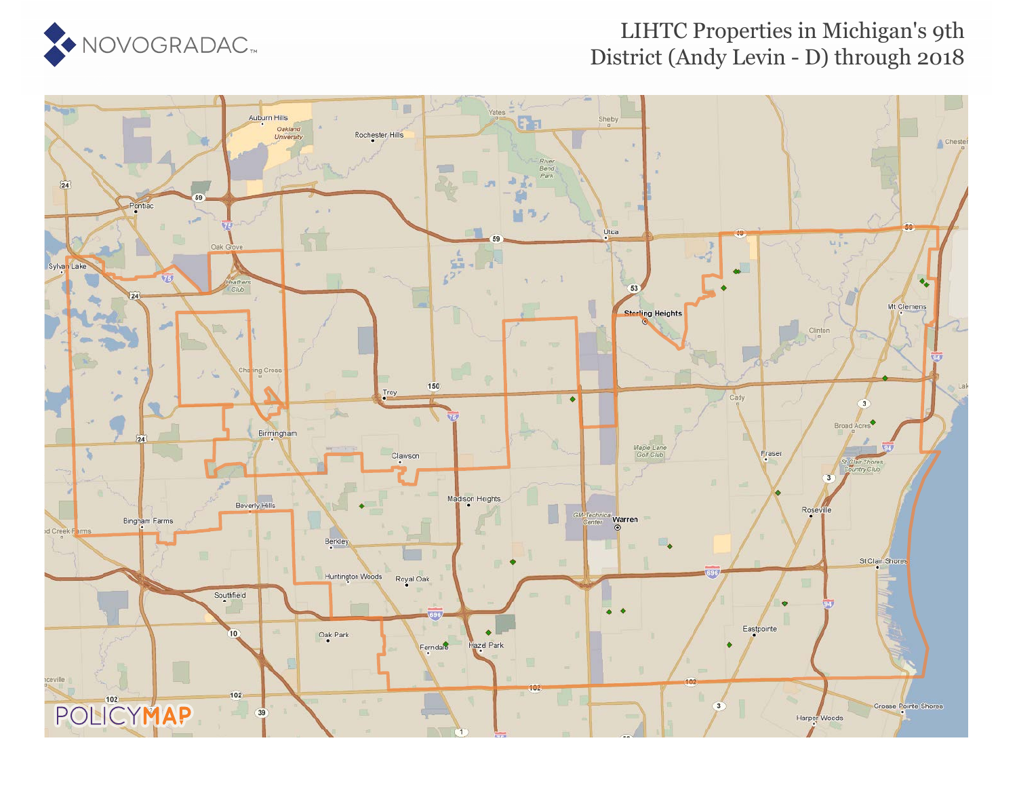

## LIHTC Properties in Michigan's 9th District (Andy Levin - D) through 2018

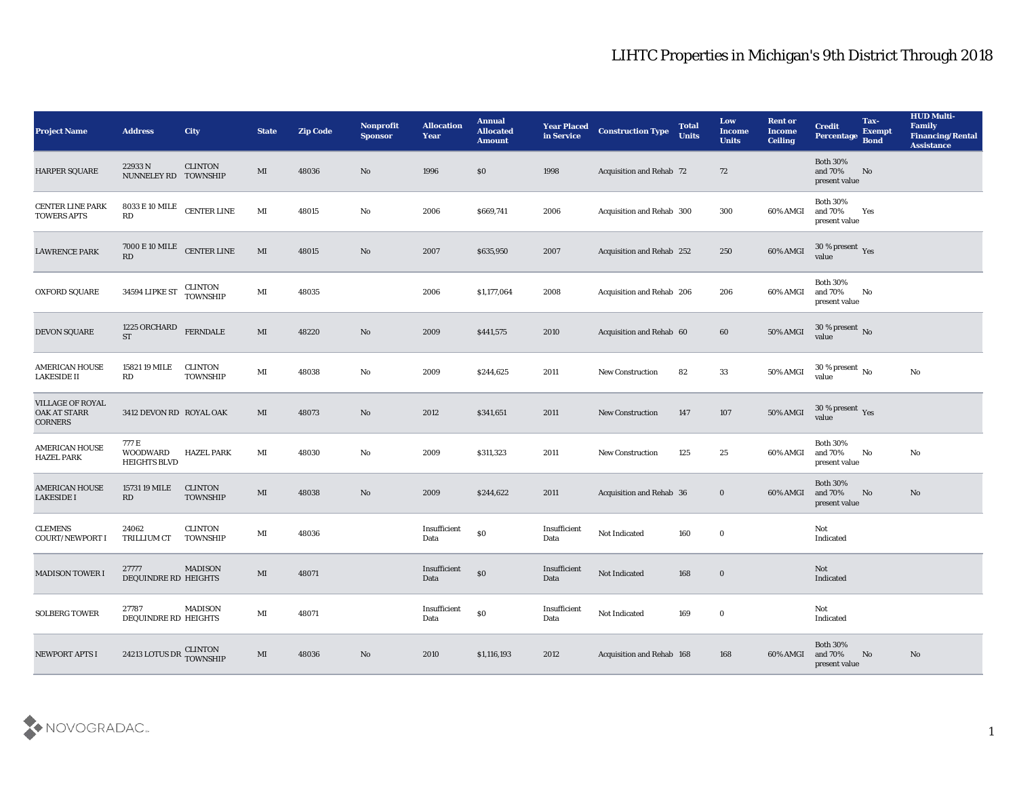## LIHTC Properties in Michigan's 9th District Through 2018

| <b>Project Name</b>                                              | <b>Address</b>                                  | <b>City</b>                       | <b>State</b>           | <b>Zip Code</b> | Nonprofit<br><b>Sponsor</b> | <b>Allocation</b><br><b>Year</b> | <b>Annual</b><br><b>Allocated</b><br><b>Amount</b> | <b>Year Placed</b><br>in Service | <b>Construction Type</b>        | <b>Total</b><br><b>Units</b> | Low<br><b>Income</b><br><b>Units</b> | <b>Rent or</b><br><b>Income</b><br><b>Ceiling</b> | <b>Credit</b><br>Percentage                 | Tax-<br><b>Exempt</b><br><b>Bond</b> | <b>HUD Multi-</b><br>Family<br><b>Financing/Rental</b><br><b>Assistance</b> |
|------------------------------------------------------------------|-------------------------------------------------|-----------------------------------|------------------------|-----------------|-----------------------------|----------------------------------|----------------------------------------------------|----------------------------------|---------------------------------|------------------------------|--------------------------------------|---------------------------------------------------|---------------------------------------------|--------------------------------------|-----------------------------------------------------------------------------|
| HARPER SQUARE                                                    | 22933N<br>NUNNELEY RD TOWNSHIP                  | <b>CLINTON</b>                    | MI                     | 48036           | No                          | 1996                             | $\$0$                                              | 1998                             | <b>Acquisition and Rehab 72</b> |                              | 72                                   |                                                   | <b>Both 30%</b><br>and 70%<br>present value | No                                   |                                                                             |
| <b>CENTER LINE PARK</b><br><b>TOWERS APTS</b>                    | 8033 E 10 MILE<br>RD                            | <b>CENTER LINE</b>                | MI                     | 48015           | No                          | 2006                             | \$669,741                                          | 2006                             | Acquisition and Rehab 300       |                              | 300                                  | 60% AMGI                                          | <b>Both 30%</b><br>and 70%<br>present value | Yes                                  |                                                                             |
| <b>LAWRENCE PARK</b>                                             | 7000 E 10 MILE<br><b>RD</b>                     | <b>CENTER LINE</b>                | MI                     | 48015           | No                          | 2007                             | \$635,950                                          | 2007                             | Acquisition and Rehab 252       |                              | 250                                  | 60% AMGI                                          | 30 % present $\gamma_{\rm es}$<br>value     |                                      |                                                                             |
| <b>OXFORD SQUARE</b>                                             | 34594 LIPKE ST                                  | CLINTON<br>TOWNSHIP               | MI                     | 48035           |                             | 2006                             | \$1,177,064                                        | 2008                             | Acquisition and Rehab 206       |                              | 206                                  | 60% AMGI                                          | <b>Both 30%</b><br>and 70%<br>present value | No                                   |                                                                             |
| DEVON SQUARE                                                     | 1225 ORCHARD<br><b>ST</b>                       | <b>FERNDALE</b>                   | $\mathbf{M}\mathbf{I}$ | 48220           | No                          | 2009                             | \$441,575                                          | 2010                             | Acquisition and Rehab 60        |                              | 60                                   | 50% AMGI                                          | $30\,\%$ present $\,$ No value              |                                      |                                                                             |
| <b>AMERICAN HOUSE</b><br><b>LAKESIDE II</b>                      | 15821 19 MILE<br>RD                             | CLINTON<br><b>TOWNSHIP</b>        | MI                     | 48038           | No                          | 2009                             | \$244,625                                          | 2011                             | <b>New Construction</b>         | 82                           | 33                                   | 50% AMGI                                          | 30 % present $\,$ No $\,$<br>value          |                                      | No                                                                          |
| <b>VILLAGE OF ROYAL</b><br><b>OAK AT STARR</b><br><b>CORNERS</b> | 3412 DEVON RD ROYAL OAK                         |                                   | MI                     | 48073           | No                          | 2012                             | \$341,651                                          | 2011                             | New Construction                | 147                          | 107                                  | 50% AMGI                                          | $30\,\%$ present $\,$ Yes value             |                                      |                                                                             |
| <b>AMERICAN HOUSE</b><br><b>HAZEL PARK</b>                       | 777 E<br><b>WOODWARD</b><br><b>HEIGHTS BLVD</b> | <b>HAZEL PARK</b>                 | MI                     | 48030           | No                          | 2009                             | \$311,323                                          | 2011                             | <b>New Construction</b>         | 125                          | 25                                   | 60% AMGI                                          | <b>Both 30%</b><br>and 70%<br>present value | No                                   | No                                                                          |
| <b>AMERICAN HOUSE</b><br><b>LAKESIDE I</b>                       | 15731 19 MILE<br>RD                             | <b>CLINTON</b><br><b>TOWNSHIP</b> | MI                     | 48038           | No                          | 2009                             | \$244,622                                          | 2011                             | Acquisition and Rehab 36        |                              | $\bf{0}$                             | 60% AMGI                                          | <b>Both 30%</b><br>and 70%<br>present value | No                                   | No                                                                          |
| <b>CLEMENS</b><br><b>COURT/NEWPORT I</b>                         | 24062<br><b>TRILLIUM CT</b>                     | CLINTON<br><b>TOWNSHIP</b>        | MI                     | 48036           |                             | Insufficient<br>Data             | $\$0$                                              | Insufficient<br>Data             | Not Indicated                   | 160                          | $\bf{0}$                             |                                                   | Not<br>Indicated                            |                                      |                                                                             |
| <b>MADISON TOWER I</b>                                           | 27777<br>DEQUINDRE RD HEIGHTS                   | <b>MADISON</b>                    | MI                     | 48071           |                             | Insufficient<br>Data             | $\$0$                                              | Insufficient<br>Data             | Not Indicated                   | 168                          | $\bf{0}$                             |                                                   | Not<br>Indicated                            |                                      |                                                                             |
| <b>SOLBERG TOWER</b>                                             | 27787<br>DEQUINDRE RD HEIGHTS                   | <b>MADISON</b>                    | $\mathbf{M}\mathbf{I}$ | 48071           |                             | Insufficient<br>Data             | $\$0$                                              | Insufficient<br>Data             | Not Indicated                   | 169                          | $\bf{0}$                             |                                                   | Not<br>Indicated                            |                                      |                                                                             |
| <b>NEWPORT APTS I</b>                                            | 24213 LOTUS DR CLINTON<br>TOWNSHIP              |                                   | $\mathbf{M}\mathbf{I}$ | 48036           | $\rm\, No$                  | 2010                             | \$1,116,193                                        | 2012                             | Acquisition and Rehab 168       |                              | 168                                  | 60% AMGI                                          | Both $30\%$<br>and 70%<br>present value     | No                                   | $\mathbf{N}\mathbf{o}$                                                      |